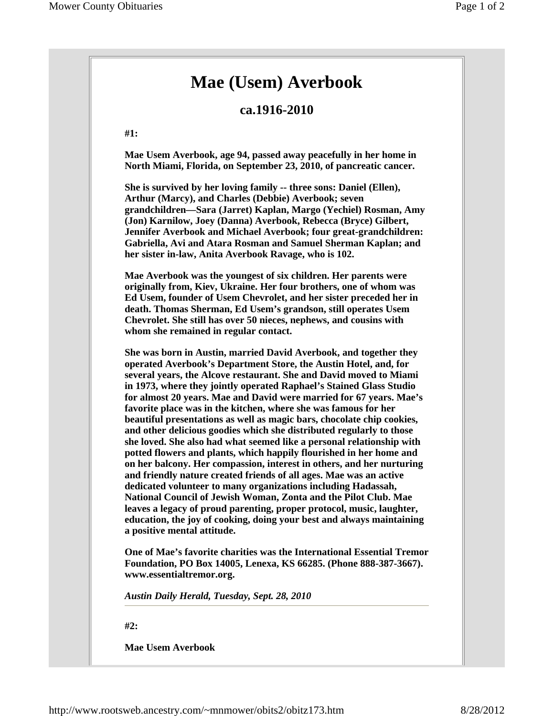